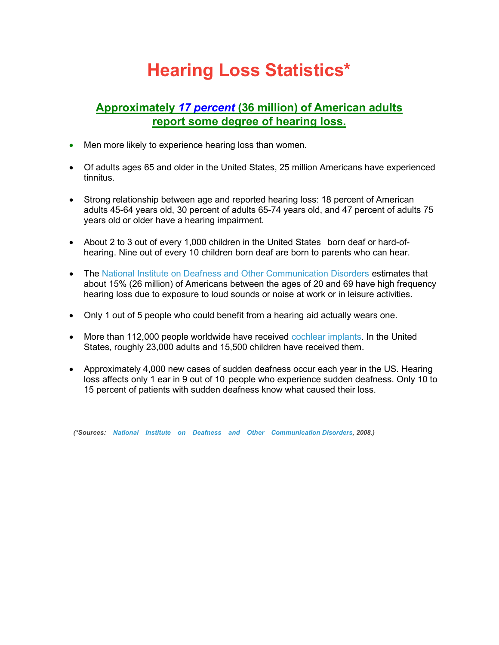# Hearing Loss Statistics\*

## Approximately 17 percent (36 million) of American adults report some degree of hearing loss.

- Men more likely to experience hearing loss than women.
- Of adults ages 65 and older in the United States, 25 million Americans have experienced tinnitus.
- Strong relationship between age and reported hearing loss: 18 percent of American adults 45-64 years old, 30 percent of adults 65-74 years old, and 47 percent of adults 75 years old or older have a hearing impairment.
- About 2 to 3 out of every 1,000 children in the United States born deaf or hard-ofhearing. Nine out of every 10 children born deaf are born to parents who can hear.
- The National Institute on Deafness and Other Communication Disorders estimates that about 15% (26 million) of Americans between the ages of 20 and 69 have high frequency hearing loss due to exposure to loud sounds or noise at work or in leisure activities.
- Only 1 out of 5 people who could benefit from a hearing aid actually wears one.
- More than 112,000 people worldwide have received cochlear implants. In the United States, roughly 23,000 adults and 15,500 children have received them.
- Approximately 4,000 new cases of sudden deafness occur each year in the US. Hearing loss affects only 1 ear in 9 out of 10 people who experience sudden deafness. Only 10 to 15 percent of patients with sudden deafness know what caused their loss.

(\*Sources: National Institute on Deafness and Other Communication Disorders, 2008.)